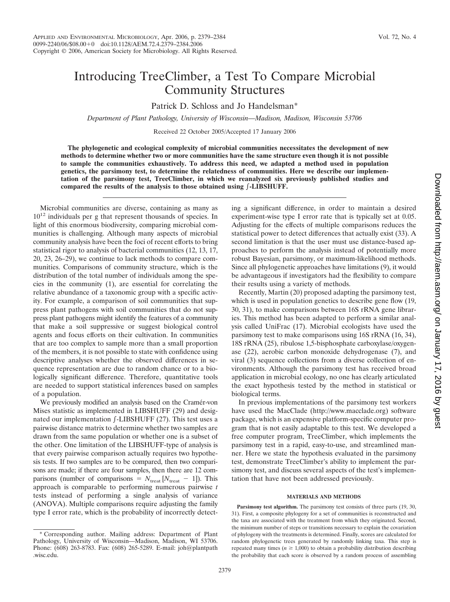# Introducing TreeClimber, a Test To Compare Microbial Community Structures

Patrick D. Schloss and Jo Handelsman\*

*Department of Plant Pathology, University of Wisconsin—Madison, Madison, Wisconsin 53706*

Received 22 October 2005/Accepted 17 January 2006

**The phylogenetic and ecological complexity of microbial communities necessitates the development of new methods to determine whether two or more communities have the same structure even though it is not possible to sample the communities exhaustively. To address this need, we adapted a method used in population genetics, the parsimony test, to determine the relatedness of communities. Here we describe our implementation of the parsimony test, TreeClimber, in which we reanalyzed six previously published studies and** compared the results of the analysis to those obtained using  $\int$ -LIBSHUFF.

Microbial communities are diverse, containing as many as  $10^{12}$  individuals per g that represent thousands of species. In light of this enormous biodiversity, comparing microbial communities is challenging. Although many aspects of microbial community analysis have been the foci of recent efforts to bring statistical rigor to analysis of bacterial communities (12, 13, 17, 20, 23, 26–29), we continue to lack methods to compare communities. Comparisons of community structure, which is the distribution of the total number of individuals among the species in the community (1), are essential for correlating the relative abundance of a taxonomic group with a specific activity. For example, a comparison of soil communities that suppress plant pathogens with soil communities that do not suppress plant pathogens might identify the features of a community that make a soil suppressive or suggest biological control agents and focus efforts on their cultivation. In communities that are too complex to sample more than a small proportion of the members, it is not possible to state with confidence using descriptive analyses whether the observed differences in sequence representation are due to random chance or to a biologically significant difference. Therefore, quantitative tools are needed to support statistical inferences based on samples of a population.

We previously modified an analysis based on the Cramér-von Mises statistic as implemented in LIBSHUFF (29) and designated our implementation f-LIBSHUFF (27). This test uses a pairwise distance matrix to determine whether two samples are drawn from the same population or whether one is a subset of the other. One limitation of the LIBSHUFF-type of analysis is that every pairwise comparison actually requires two hypothesis tests. If two samples are to be compared, then two comparisons are made; if there are four samples, then there are 12 comparisons (number of comparisons  $= N_{\text{treat}} [N_{\text{treat}} - 1]$ ). This approach is comparable to performing numerous pairwise *t* tests instead of performing a single analysis of variance (ANOVA). Multiple comparisons require adjusting the family type I error rate, which is the probability of incorrectly detecting a significant difference, in order to maintain a desired experiment-wise type I error rate that is typically set at 0.05. Adjusting for the effects of multiple comparisons reduces the statistical power to detect differences that actually exist (33). A second limitation is that the user must use distance-based approaches to perform the analysis instead of potentially more robust Bayesian, parsimony, or maximum-likelihood methods. Since all phylogenetic approaches have limitations (9), it would be advantageous if investigators had the flexibility to compare their results using a variety of methods.

Recently, Martin (20) proposed adapting the parsimony test, which is used in population genetics to describe gene flow  $(19, 19)$ 30, 31), to make comparisons between 16S rRNA gene libraries. This method has been adapted to perform a similar analysis called UniFrac (17). Microbial ecologists have used the parsimony test to make comparisons using 16S rRNA (16, 34), 18S rRNA (25), ribulose 1,5-bisphosphate carboxylase/oxygenase (22), aerobic carbon monoxide dehydrogenase (7), and viral (3) sequence collections from a diverse collection of environments. Although the parsimony test has received broad application in microbial ecology, no one has clearly articulated the exact hypothesis tested by the method in statistical or biological terms.

In previous implementations of the parsimony test workers have used the MacClade (http://www.macclade.org) software package, which is an expensive platform-specific computer program that is not easily adaptable to this test. We developed a free computer program, TreeClimber, which implements the parsimony test in a rapid, easy-to-use, and streamlined manner. Here we state the hypothesis evaluated in the parsimony test, demonstrate TreeClimber's ability to implement the parsimony test, and discuss several aspects of the test's implementation that have not been addressed previously.

### **MATERIALS AND METHODS**

Parsimony test algorithm. The parsimony test consists of three parts (19, 30, 31). First, a composite phylogeny for a set of communities is reconstructed and the taxa are associated with the treatment from which they originated. Second, the minimum number of steps or transitions necessary to explain the covariation of phylogeny with the treatments is determined. Finally, scores are calculated for random phylogenetic trees generated by randomly linking taxa. This step is repeated many times ( $n \ge 1,000$ ) to obtain a probability distribution describing the probability that each score is observed by a random process of assembling

<sup>\*</sup> Corresponding author. Mailing address: Department of Plant Pathology, University of Wisconsin—Madison, Madison, WI 53706. Phone: (608) 263-8783. Fax: (608) 265-5289. E-mail: joh@plantpath .wisc.edu.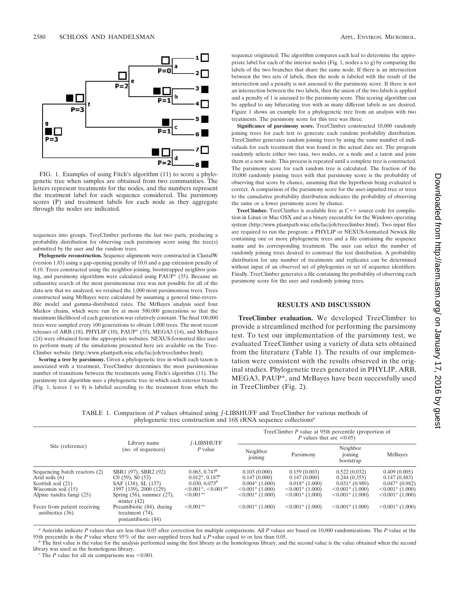

FIG. 1. Examples of using Fitch's algorithm (11) to score a phylogenetic tree when samples are obtained from two communities. The letters represent treatments for the nodes, and the numbers represent the treatment label for each sequence considered. The parsimony scores (P) and treatment labels for each node as they aggregate through the nodes are indicated.

sequences into groups. TreeClimber performs the last two parts, producing a probability distribution for observing each parsimony score using the tree(s) submitted by the user and the random trees.

**Phylogenetic reconstruction.** Sequence alignments were constructed in ClustalW (version 1.83) using a gap-opening penalty of 10.0 and a gap extension penalty of 0.10. Trees constructed using the neighbor-joining, bootstrapped neighbor-joining, and parsimony algorithms were calculated using PAUP\* (35). Because an exhaustive search of the most parsimonious tree was not possible for all of the data sets that we analyzed, we retained the 1,000 most parsimonious trees. Trees constructed using MrBayes were calculated by assuming a general time-reversible model and gamma-distributed rates. The MrBayes analysis used four Markov chains, which were run for at most 500,000 generations so that the maximum likelihood of each generation was relatively constant. The final 100,000 trees were sampled every 100 generations to obtain 1,000 trees. The most recent releases of ARB (18), PHYLIP (10), PAUP\* (35), MEGA3 (14), and MrBayes (24) were obtained from the appropriate websites. NEXUS-formatted files used to perform many of the simulations presented here are available on the Tree-Climber website (http://www.plantpath.wisc.edu/fac/joh/treeclimber.html).

**Scoring a tree by parsimony.** Given a phylogenetic tree in which each taxon is associated with a treatment, TreeClimber determines the most parsimonious number of transitions between the treatments using Fitch's algorithm (11). The parsimony test algorithm uses a phylogenetic tree in which each exterior branch (Fig. 1, leaves 1 to 8) is labeled according to the treatment from which the

sequence originated. The algorithm compares each leaf to determine the appropriate label for each of the interior nodes (Fig. 1, nodes a to g) by comparing the labels of the two branches that share the same node. If there is an intersection between the two sets of labels, then the node is labeled with the result of the intersection and a penalty is not assessed to the parsimony score. If there is not an intersection between the two labels, then the union of the two labels is applied and a penalty of 1 is assessed to the parsimony score. This scoring algorithm can be applied to any bifurcating tree with as many different labels as are desired. Figure 1 shows an example for a phylogenetic tree from an analysis with two treatments. The parsimony score for this tree was three.

**Significance of parsimony score.** TreeClimber constructed 10,000 randomly joining trees for each test to generate each random probability distribution. TreeClimber generates random joining trees by using the same number of individuals for each treatment that was found in the actual data set. The program randomly selects either two taxa, two nodes, or a node and a taxon and joins them at a new node. This process is repeated until a complete tree is constructed. The parsimony score for each random tree is calculated. The fraction of the 10,000 randomly joining trees with that parsimony score is the probability of observing that score by chance, assuming that the hypothesis being evaluated is correct. A comparison of the parsimony score for the user-inputted tree or trees to the cumulative probability distribution indicates the probability of observing the same or a lower parsimony score by chance.

**TreeClimber.** TreeClimber is available free as  $C++$  source code for compilation in Linux or Mac OSX and as a binary executable for the Windows operating system (http://www.plantpath.wisc.edu/fac/joh/treeclimber.html). Two input files are required to run the program: a PHYLIP or NEXUS-formatted Newick file containing one or more phylogenetic trees and a file containing the sequence name and its corresponding treatment. The user can select the number of randomly joining trees desired to construct the test distribution. A probability distribution for any number of treatments and replicates can be determined without input of an observed set of phylogenies or set of sequence identifiers. Finally, TreeClimber generates a file containing the probability of observing each parsimony score for the user and randomly joining trees.

## **RESULTS AND DISCUSSION**

**TreeClimber evaluation.** We developed TreeClimber to provide a streamlined method for performing the parsimony test. To test our implementation of the parsimony test, we evaluated TreeClimber using a variety of data sets obtained from the literature (Table 1). The results of our implementation were consistent with the results observed in the original studies. Phylogenetic trees generated in PHYLIP, ARB, MEGA3, PAUP\*, and MrBayes have been successfully used in TreeClimber (Fig. 2).

TABLE 1. Comparison of *P* values obtained using f-LIBSHUFF and TreeClimber for various methods of phylogenetic tree construction and 16S rRNA sequence collections*<sup>a</sup>*

| Site (reference)                                                                                                           | Library name<br>(no. of sequences)                                                                                                           | <b>f-LIBSHUFF</b><br>$P$ value                                                                                    | TreeClimber $P$ value at 95th percentile (proportion of<br>P values that are $\leq 0.05$ )     |                                                                                                             |                                                                                                             |                                                                                                                      |
|----------------------------------------------------------------------------------------------------------------------------|----------------------------------------------------------------------------------------------------------------------------------------------|-------------------------------------------------------------------------------------------------------------------|------------------------------------------------------------------------------------------------|-------------------------------------------------------------------------------------------------------------|-------------------------------------------------------------------------------------------------------------|----------------------------------------------------------------------------------------------------------------------|
|                                                                                                                            |                                                                                                                                              |                                                                                                                   | Neighbor<br>joining                                                                            | Parsimony                                                                                                   | Neighbor<br>joining<br>bootstrap                                                                            | <b>MrBayes</b>                                                                                                       |
| Sequencing batch reactors (2)<br>Arid soils $(6)$<br>Scottish soil (21)<br>Wisconsin soil (15)<br>Alpine tundra fungi (25) | SBR1 (97), SBR2 (92)<br>$CO (59)$ , $S0 (53)$<br>SAF (138), SL (137)<br>1997 (139), 2000 (129)<br>Spring (56), summer (27),<br>winter $(42)$ | $0.065, 0.747^b$<br>$0.012^*, 0.187^b$<br>$0.030, 0.073^b$<br>$\leq 0.001^*$ , $\leq 0.001^{*b}$<br>$< 0.001 * c$ | 0.103(0.000)<br>0.147(0.000)<br>$0.004*$ (1.000)<br>$< 0.001$ * (1.000)<br>$< 0.001$ * (1.000) | 0.159(0.003)<br>0.147(0.000)<br>$0.018*(1.000)$<br>$\leq 0.001$ * (1.000)<br>$< 0.001$ <sup>*</sup> (1.000) | 0.522(0.032)<br>0.244(0.355)<br>$0.031*(0.989)$<br>$\leq 0.001$ * (1.000)<br>$< 0.001$ <sup>*</sup> (1.000) | 0.409(0.005)<br>0.147(0.483)<br>$0.047*$ (0.982)<br>$< 0.001$ <sup>*</sup> (1.000)<br>$< 0.001$ <sup>*</sup> (1.000) |
| Feces from patient receiving<br>antibiotics (36)                                                                           | Preantibiotic (84), during<br>treatment $(74)$ ,<br>postantibiotic (84)                                                                      | $< 0.001 * c$                                                                                                     | $< 0.001$ <sup>*</sup> (1.000)                                                                 | $\leq 0.001$ * (1.000)                                                                                      | $< 0.001$ <sup>*</sup> (1.000)                                                                              | $< 0.001$ * (1.000)                                                                                                  |

*a* Asterisks indicate *P* values that are less than 0.05 after correction for multiple comparisons. All *P* values are based on 10,000 randomizations. The *P* value at the 95th percentile is the *P* value where 95% of the

 $<sup>b</sup>$  The first value is the value for the analysis performed using the first library as the homologous library, and the second value is the value obtained when the second library was used as the homologous library.</sup>

 $\epsilon$  The *P* value for all six comparisons was <0.001.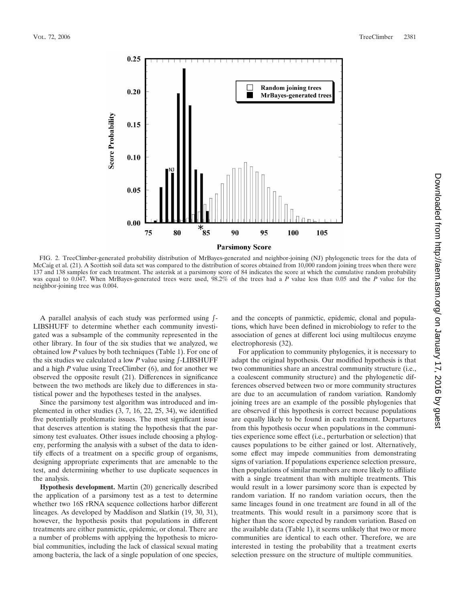

FIG. 2. TreeClimber-generated probability distribution of MrBayes-generated and neighbor-joining (NJ) phylogenetic trees for the data of McCaig et al. (21). A Scottish soil data set was compared to the distribution of scores obtained from 10,000 random joining trees when there were 137 and 138 samples for each treatment. The asterisk at a parsimony score of 84 indicates the score at which the cumulative random probability was equal to 0.047. When MrBayes-generated trees were used, 98.2% of the trees had a *P* value less than 0.05 and the *P* value for the neighbor-joining tree was 0.004.

A parallel analysis of each study was performed using  $\int$ -LIBSHUFF to determine whether each community investigated was a subsample of the community represented in the other library. In four of the six studies that we analyzed, we obtained low *P* values by both techniques (Table 1). For one of the six studies we calculated a low  $P$  value using  $\int$ -LIBSHUFF and a high *P* value using TreeClimber (6), and for another we observed the opposite result (21). Differences in significance between the two methods are likely due to differences in statistical power and the hypotheses tested in the analyses.

Since the parsimony test algorithm was introduced and implemented in other studies (3, 7, 16, 22, 25, 34), we identified five potentially problematic issues. The most significant issue that deserves attention is stating the hypothesis that the parsimony test evaluates. Other issues include choosing a phylogeny, performing the analysis with a subset of the data to identify effects of a treatment on a specific group of organisms, designing appropriate experiments that are amenable to the test, and determining whether to use duplicate sequences in the analysis.

**Hypothesis development.** Martin (20) generically described the application of a parsimony test as a test to determine whether two 16S rRNA sequence collections harbor different lineages. As developed by Maddison and Slatkin (19, 30, 31), however, the hypothesis posits that populations in different treatments are either panmictic, epidemic, or clonal. There are a number of problems with applying the hypothesis to microbial communities, including the lack of classical sexual mating among bacteria, the lack of a single population of one species,

and the concepts of panmictic, epidemic, clonal and populations, which have been defined in microbiology to refer to the association of genes at different loci using multilocus enzyme electrophoresis (32).

For application to community phylogenies, it is necessary to adapt the original hypothesis. Our modified hypothesis is that two communities share an ancestral community structure (i.e., a coalescent community structure) and the phylogenetic differences observed between two or more community structures are due to an accumulation of random variation. Randomly joining trees are an example of the possible phylogenies that are observed if this hypothesis is correct because populations are equally likely to be found in each treatment. Departures from this hypothesis occur when populations in the communities experience some effect (i.e., perturbation or selection) that causes populations to be either gained or lost. Alternatively, some effect may impede communities from demonstrating signs of variation. If populations experience selection pressure, then populations of similar members are more likely to affiliate with a single treatment than with multiple treatments. This would result in a lower parsimony score than is expected by random variation. If no random variation occurs, then the same lineages found in one treatment are found in all of the treatments. This would result in a parsimony score that is higher than the score expected by random variation. Based on the available data (Table 1), it seems unlikely that two or more communities are identical to each other. Therefore, we are interested in testing the probability that a treatment exerts selection pressure on the structure of multiple communities.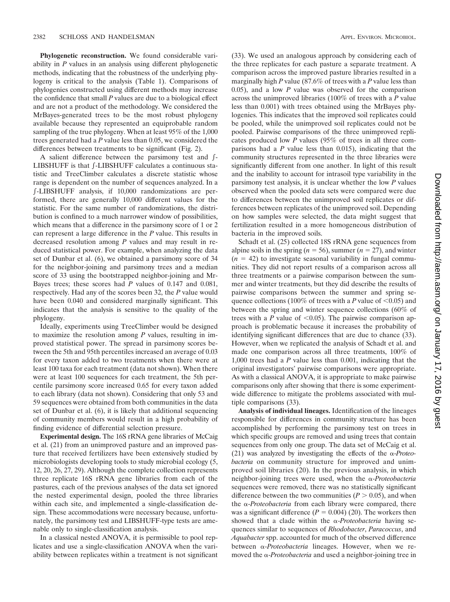**Phylogenetic reconstruction.** We found considerable variability in *P* values in an analysis using different phylogenetic methods, indicating that the robustness of the underlying phylogeny is critical to the analysis (Table 1). Comparisons of phylogenies constructed using different methods may increase the confidence that small *P* values are due to a biological effect and are not a product of the methodology. We considered the MrBayes-generated trees to be the most robust phylogeny available because they represented an equiprobable random sampling of the true phylogeny. When at least 95% of the 1,000 trees generated had a *P* value less than 0.05, we considered the differences between treatments to be significant (Fig. 2).

A salient difference between the parsimony test and  $\int$ -LIBSHUFF is that f-LIBSHUFF calculates a continuous statistic and TreeClimber calculates a discrete statistic whose range is dependent on the number of sequences analyzed. In a --LIBSHUFF analysis, if 10,000 randomizations are performed, there are generally 10,000 different values for the statistic. For the same number of randomizations, the distribution is confined to a much narrower window of possibilities, which means that a difference in the parsimony score of 1 or 2 can represent a large difference in the *P* value. This results in decreased resolution among *P* values and may result in reduced statistical power. For example, when analyzing the data set of Dunbar et al. (6), we obtained a parsimony score of 34 for the neighbor-joining and parsimony trees and a median score of 33 using the bootstrapped neighbor-joining and Mr-Bayes trees; these scores had *P* values of 0.147 and 0.081, respectively. Had any of the scores been 32, the *P* value would have been 0.040 and considered marginally significant. This indicates that the analysis is sensitive to the quality of the phylogeny.

Ideally, experiments using TreeClimber would be designed to maximize the resolution among *P* values, resulting in improved statistical power. The spread in parsimony scores between the 5th and 95th percentiles increased an average of 0.03 for every taxon added to two treatments when there were at least 100 taxa for each treatment (data not shown). When there were at least 100 sequences for each treatment, the 5th percentile parsimony score increased 0.65 for every taxon added to each library (data not shown). Considering that only 53 and 59 sequences were obtained from both communities in the data set of Dunbar et al. (6), it is likely that additional sequencing of community members would result in a high probability of finding evidence of differential selection pressure.

**Experimental design.** The 16S rRNA gene libraries of McCaig et al. (21) from an unimproved pasture and an improved pasture that received fertilizers have been extensively studied by microbiologists developing tools to study microbial ecology (5, 12, 20, 26, 27, 29). Although the complete collection represents three replicate 16S rRNA gene libraries from each of the pastures, each of the previous analyses of the data set ignored the nested experimental design, pooled the three libraries within each site, and implemented a single-classification design. These accommodations were necessary because, unfortunately, the parsimony test and LIBSHUFF-type tests are amenable only to single-classification analysis.

In a classical nested ANOVA, it is permissible to pool replicates and use a single-classification ANOVA when the variability between replicates within a treatment is not significant (33). We used an analogous approach by considering each of the three replicates for each pasture a separate treatment. A comparison across the improved pasture libraries resulted in a marginally high *P* value (87.6% of trees with a *P* value less than 0.05), and a low *P* value was observed for the comparison across the unimproved libraries (100% of trees with a *P* value less than 0.001) with trees obtained using the MrBayes phylogenies. This indicates that the improved soil replicates could be pooled, while the unimproved soil replicates could not be pooled. Pairwise comparisons of the three unimproved replicates produced low *P* values (95% of trees in all three comparisons had a *P* value less than 0.015), indicating that the community structures represented in the three libraries were significantly different from one another. In light of this result and the inability to account for intrasoil type variability in the parsimony test analysis, it is unclear whether the low *P* values observed when the pooled data sets were compared were due to differences between the unimproved soil replicates or differences between replicates of the unimproved soil. Depending on how samples were selected, the data might suggest that fertilization resulted in a more homogeneous distribution of bacteria in the improved soils.

Schadt et al. (25) collected 18S rRNA gene sequences from alpine soils in the spring ( $n = 56$ ), summer ( $n = 27$ ), and winter  $(n = 42)$  to investigate seasonal variability in fungal communities. They did not report results of a comparison across all three treatments or a pairwise comparison between the summer and winter treatments, but they did describe the results of pairwise comparisons between the summer and spring sequence collections (100% of trees with a *P* value of  $\leq 0.05$ ) and between the spring and winter sequence collections (60% of trees with a  $P$  value of  $\leq 0.05$ ). The pairwise comparison approach is problematic because it increases the probability of identifying significant differences that are due to chance (33). However, when we replicated the analysis of Schadt et al. and made one comparison across all three treatments, 100% of 1,000 trees had a *P* value less than 0.001, indicating that the original investigators' pairwise comparisons were appropriate. As with a classical ANOVA, it is appropriate to make pairwise comparisons only after showing that there is some experimentwide difference to mitigate the problems associated with multiple comparisons (33).

**Analysis of individual lineages.** Identification of the lineages responsible for differences in community structure has been accomplished by performing the parsimony test on trees in which specific groups are removed and using trees that contain sequences from only one group. The data set of McCaig et al.  $(21)$  was analyzed by investigating the effects of the  $\alpha$ -*Proteobacteria* on community structure for improved and unimproved soil libraries (20). In the previous analysis, in which neighbor-joining trees were used, when the  $\alpha$ -*Proteobacteria* sequences were removed, there was no statistically significant difference between the two communities  $(P > 0.05)$ , and when the  $\alpha$ -*Proteobacteria* from each library were compared, there was a significant difference  $(P = 0.004)$  (20). The workers then showed that a clade within the  $\alpha$ -*Proteobacteria* having sequences similar to sequences of *Rhodobacter*, *Paracoccus*, and *Aquabacter* spp. accounted for much of the observed difference between  $\alpha$ -Proteobacteria lineages. However, when we removed the  $\alpha$ -*Proteobacteria* and used a neighbor-joining tree in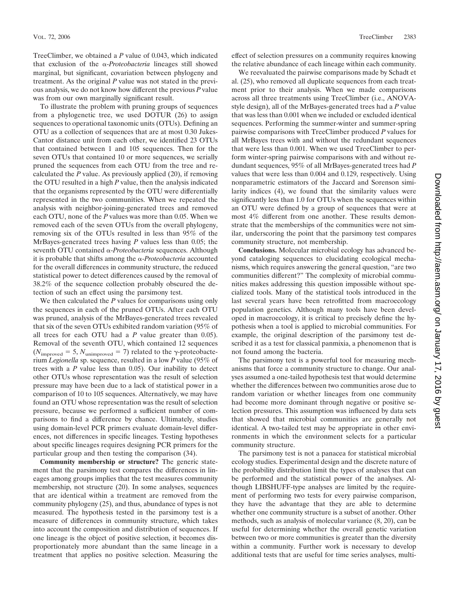TreeClimber, we obtained a *P* value of 0.043, which indicated that exclusion of the  $\alpha$ -*Proteobacteria* lineages still showed marginal, but significant, covariation between phylogeny and treatment. As the original *P* value was not stated in the previous analysis, we do not know how different the previous *P* value was from our own marginally significant result.

To illustrate the problem with pruning groups of sequences from a phylogenetic tree, we used DOTUR (26) to assign sequences to operational taxonomic units (OTUs). Defining an OTU as a collection of sequences that are at most 0.30 Jukes-Cantor distance unit from each other, we identified 23 OTUs that contained between 1 and 105 sequences. Then for the seven OTUs that contained 10 or more sequences, we serially pruned the sequences from each OTU from the tree and recalculated the *P* value. As previously applied (20), if removing the OTU resulted in a high *P* value, then the analysis indicated that the organisms represented by the OTU were differentially represented in the two communities. When we repeated the analysis with neighbor-joining-generated trees and removed each OTU, none of the *P* values was more than 0.05. When we removed each of the seven OTUs from the overall phylogeny, removing six of the OTUs resulted in less than 95% of the MrBayes-generated trees having *P* values less than 0.05; the seventh OTU contained α-*Proteobacteria* sequences. Although it is probable that shifts among the  $\alpha$ -*Proteobacteria* accounted for the overall differences in community structure, the reduced statistical power to detect differences caused by the removal of 38.2% of the sequence collection probably obscured the detection of such an effect using the parsimony test.

We then calculated the *P* values for comparisons using only the sequences in each of the pruned OTUs. After each OTU was pruned, analysis of the MrBayes-generated trees revealed that six of the seven OTUs exhibited random variation (95% of all trees for each OTU had a *P* value greater than 0.05). Removal of the seventh OTU, which contained 12 sequences  $(N_{\text{improved}} = 5, N_{\text{unimproved}} = 7)$  related to the  $\gamma$ -proteobacterium *Legionella* sp. sequence, resulted in a low *P* value (95% of trees with a *P* value less than 0.05). Our inability to detect other OTUs whose representation was the result of selection pressure may have been due to a lack of statistical power in a comparison of 10 to 105 sequences. Alternatively, we may have found an OTU whose representation was the result of selection pressure, because we performed a sufficient number of comparisons to find a difference by chance. Ultimately, studies using domain-level PCR primers evaluate domain-level differences, not differences in specific lineages. Testing hypotheses about specific lineages requires designing PCR primers for the particular group and then testing the comparison (34).

**Community membership or structure?** The generic statement that the parsimony test compares the differences in lineages among groups implies that the test measures community membership, not structure (20). In some analyses, sequences that are identical within a treatment are removed from the community phylogeny (25), and thus, abundance of types is not measured. The hypothesis tested in the parsimony test is a measure of differences in community structure, which takes into account the composition and distribution of sequences. If one lineage is the object of positive selection, it becomes disproportionately more abundant than the same lineage in a treatment that applies no positive selection. Measuring the

effect of selection pressures on a community requires knowing the relative abundance of each lineage within each community.

We reevaluated the pairwise comparisons made by Schadt et al. (25), who removed all duplicate sequences from each treatment prior to their analysis. When we made comparisons across all three treatments using TreeClimber (i.e., ANOVAstyle design), all of the MrBayes-generated trees had a *P* value that was less than 0.001 when we included or excluded identical sequences. Performing the summer-winter and summer-spring pairwise comparisons with TreeClimber produced *P* values for all MrBayes trees with and without the redundant sequences that were less than 0.001. When we used TreeClimber to perform winter-spring pairwise comparisons with and without redundant sequences, 95% of all MrBayes-generated trees had *P* values that were less than 0.004 and 0.129, respectively. Using nonparametric estimators of the Jaccard and Sorenson similarity indices (4), we found that the similarity values were significantly less than 1.0 for OTUs when the sequences within an OTU were defined by a group of sequences that were at most 4% different from one another. These results demonstrate that the memberships of the communities were not similar, underscoring the point that the parsimony test compares community structure, not membership.

**Conclusions.** Molecular microbial ecology has advanced beyond cataloging sequences to elucidating ecological mechanisms, which requires answering the general question, "are two communities different?" The complexity of microbial communities makes addressing this question impossible without specialized tools. Many of the statistical tools introduced in the last several years have been retrofitted from macroecology population genetics. Although many tools have been developed in macroecology, it is critical to precisely define the hypothesis when a tool is applied to microbial communities. For example, the original description of the parsimony test described it as a test for classical panmixia, a phenomenon that is not found among the bacteria.

The parsimony test is a powerful tool for measuring mechanisms that force a community structure to change. Our analyses assumed a one-tailed hypothesis test that would determine whether the differences between two communities arose due to random variation or whether lineages from one community had become more dominant through negative or positive selection pressures. This assumption was influenced by data sets that showed that microbial communities are generally not identical. A two-tailed test may be appropriate in other environments in which the environment selects for a particular community structure.

The parsimony test is not a panacea for statistical microbial ecology studies. Experimental design and the discrete nature of the probability distribution limit the types of analyses that can be performed and the statistical power of the analyses. Although LIBSHUFF-type analyses are limited by the requirement of performing two tests for every pairwise comparison, they have the advantage that they are able to determine whether one community structure is a subset of another. Other methods, such as analysis of molecular variance (8, 20), can be useful for determining whether the overall genetic variation between two or more communities is greater than the diversity within a community. Further work is necessary to develop additional tests that are useful for time series analyses, multi